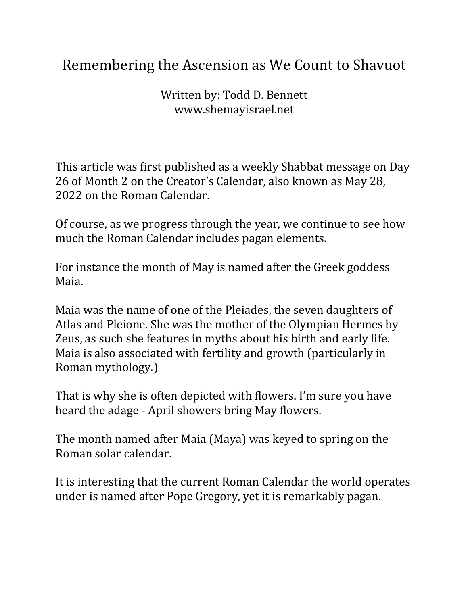## Remembering the Ascension as We Count to Shavuot

Written by: Todd D. Bennett www.shemayisrael.net

This article was first published as a weekly Shabbat message on Day 26 of Month 2 on the Creator's Calendar, also known as May 28, 2022 on the Roman Calendar.

Of course, as we progress through the year, we continue to see how much the Roman Calendar includes pagan elements.

For instance the month of May is named after the Greek goddess Maia.

Maia was the name of one of the Pleiades, the seven daughters of Atlas and Pleione. She was the mother of the Olympian Hermes by Zeus, as such she features in myths about his birth and early life. Maia is also associated with fertility and growth (particularly in Roman mythology.)

That is why she is often depicted with flowers. I'm sure you have heard the adage - April showers bring May flowers.

The month named after Maia (Maya) was keyed to spring on the Roman solar calendar.

It is interesting that the current Roman Calendar the world operates under is named after Pope Gregory, yet it is remarkably pagan.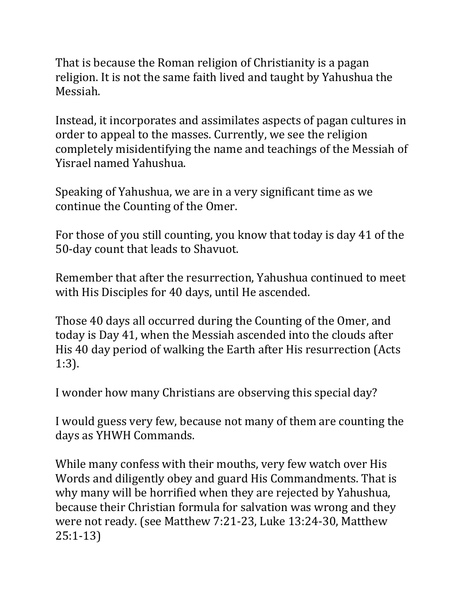That is because the Roman religion of Christianity is a pagan religion. It is not the same faith lived and taught by Yahushua the Messiah.

Instead, it incorporates and assimilates aspects of pagan cultures in order to appeal to the masses. Currently, we see the religion completely misidentifying the name and teachings of the Messiah of Yisrael named Yahushua.

Speaking of Yahushua, we are in a very significant time as we continue the Counting of the Omer.

For those of you still counting, you know that today is day 41 of the 50-day count that leads to Shavuot.

Remember that after the resurrection, Yahushua continued to meet with His Disciples for 40 days, until He ascended.

Those 40 days all occurred during the Counting of the Omer, and today is Day 41, when the Messiah ascended into the clouds after His 40 day period of walking the Earth after His resurrection (Acts) 1:3).

I wonder how many Christians are observing this special day?

I would guess very few, because not many of them are counting the days as YHWH Commands.

While many confess with their mouths, very few watch over His Words and diligently obey and guard His Commandments. That is why many will be horrified when they are rejected by Yahushua, because their Christian formula for salvation was wrong and they were not ready. (see Matthew 7:21-23, Luke 13:24-30, Matthew 25:1-13)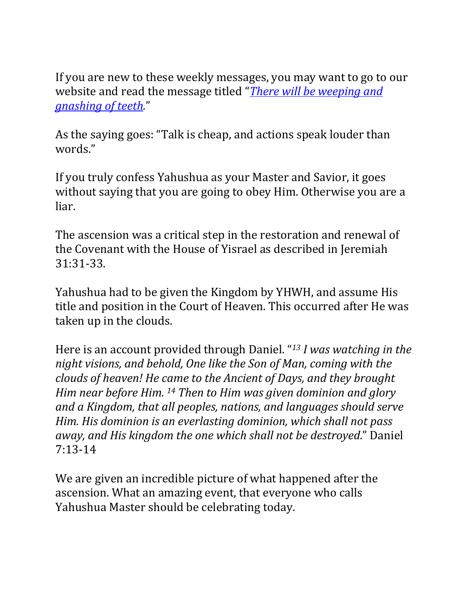If you are new to these weekly messages, you may want to go to our website and read the message titled "*There will be weeping and gnashing of teeth.*"

As the saying goes: "Talk is cheap, and actions speak louder than words."

If you truly confess Yahushua as your Master and Savior, it goes without saying that you are going to obey Him. Otherwise you are a liar.

The ascension was a critical step in the restoration and renewal of the Covenant with the House of Yisrael as described in Jeremiah 31:31-33.

Yahushua had to be given the Kingdom by YHWH, and assume His title and position in the Court of Heaven. This occurred after He was taken up in the clouds.

Here is an account provided through Daniel. "<sup>13</sup> *I* was watching in the *night visions, and behold, One like the Son of Man, coming with the clouds of heaven!* He came to the Ancient of Days, and they brought *Him near before Him.* <sup>14</sup> *Then to Him was given dominion and glory* and a Kingdom, that all peoples, nations, and languages should serve *Him.* His dominion is an everlasting dominion, which shall not pass *away, and His kingdom the one which shall not be destroyed."* Daniel 7:13-14

We are given an incredible picture of what happened after the ascension. What an amazing event, that everyone who calls Yahushua Master should be celebrating today.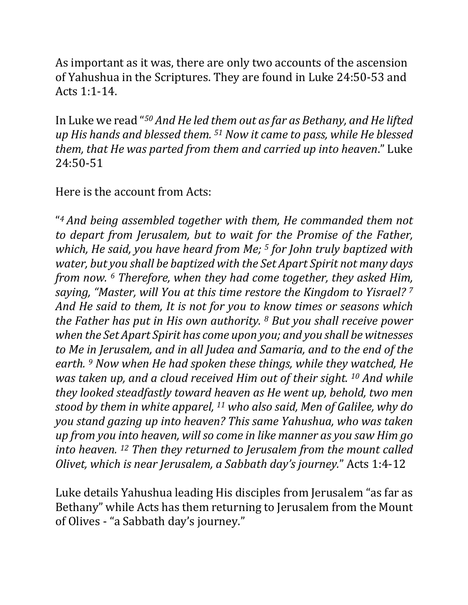As important as it was, there are only two accounts of the ascension of Yahushua in the Scriptures. They are found in Luke 24:50-53 and Acts 1:1-14.

In Luke we read "<sup>50</sup> And He led them out as far as Bethany, and He lifted *up* His hands and blessed them. <sup>51</sup> Now it came to pass, while He blessed *them, that He was parted from them and carried up into heaven."* Luke 24:50-51

Here is the account from Acts:

"*4 And being assembled together with them, He commanded them not to* depart from Jerusalem, but to wait for the Promise of the Father, *which, He said, you have heard from Me;* <sup>5</sup> *for John truly baptized with water, but you shall be baptized with the Set Apart Spirit not many days from now.* <sup>6</sup> *Therefore, when they had come together, they asked Him, saying, "Master, will You at this time restore the Kingdom to Yisrael?* <sup>7</sup> And He said to them, It is not for you to know times or seasons which *the Father has put in His own authority. 8 But you shall receive power when the Set Apart Spirit has come upon you; and you shall be witnesses to* Me in Jerusalem, and in all Judea and Samaria, and to the end of the *earth.* <sup>9</sup> Now when He had spoken these things, while they watched, He *was taken up, and a cloud received Him out of their sight.* <sup>10</sup> *And while* they looked steadfastly toward heaven as *He* went up, behold, two men *stood by them in white apparel,* <sup>11</sup> who also said, Men of Galilee, why do *you stand gazing up into heaven? This same Yahushua, who was taken up* from you into heaven, will so come in like manner as you saw Him go *into heaven.* <sup>12</sup> *Then they returned to Jerusalem from the mount called Olivet, which is near Jerusalem, a Sabbath day's journey."* Acts 1:4-12

Luke details Yahushua leading His disciples from Jerusalem "as far as Bethany" while Acts has them returning to Jerusalem from the Mount of Olives - "a Sabbath day's journey."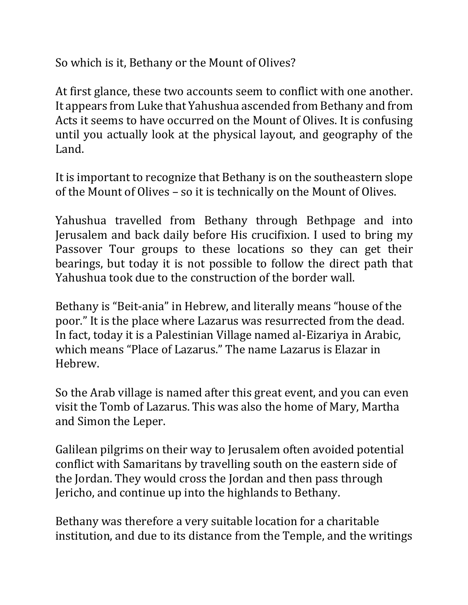So which is it, Bethany or the Mount of Olives?

At first glance, these two accounts seem to conflict with one another. It appears from Luke that Yahushua ascended from Bethany and from Acts it seems to have occurred on the Mount of Olives. It is confusing until you actually look at the physical layout, and geography of the Land.

It is important to recognize that Bethany is on the southeastern slope of the Mount of Olives – so it is technically on the Mount of Olives.

Yahushua travelled from Bethany through Bethpage and into Jerusalem and back daily before His crucifixion. I used to bring my Passover Tour groups to these locations so they can get their bearings, but today it is not possible to follow the direct path that Yahushua took due to the construction of the border wall.

Bethany is "Beit-ania" in Hebrew, and literally means "house of the poor." It is the place where Lazarus was resurrected from the dead. In fact, today it is a Palestinian Village named al-Eizariya in Arabic, which means "Place of Lazarus." The name Lazarus is Elazar in Hebrew. 

So the Arab village is named after this great event, and you can even visit the Tomb of Lazarus. This was also the home of Mary, Martha and Simon the Leper.

Galilean pilgrims on their way to Jerusalem often avoided potential conflict with Samaritans by travelling south on the eastern side of the Jordan. They would cross the Jordan and then pass through Jericho, and continue up into the highlands to Bethany.

Bethany was therefore a very suitable location for a charitable institution, and due to its distance from the Temple, and the writings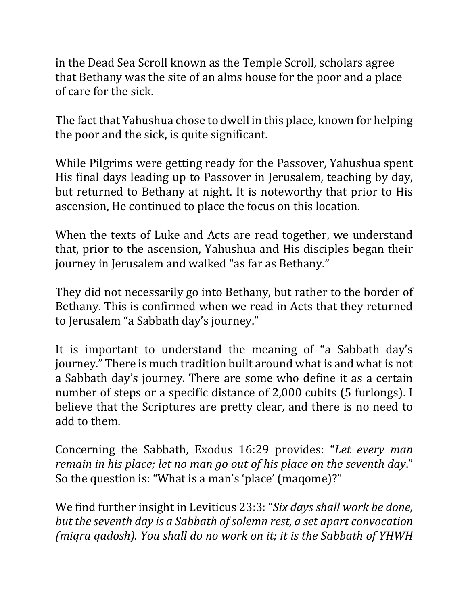in the Dead Sea Scroll known as the Temple Scroll, scholars agree that Bethany was the site of an alms house for the poor and a place of care for the sick.

The fact that Yahushua chose to dwell in this place, known for helping the poor and the sick, is quite significant.

While Pilgrims were getting ready for the Passover, Yahushua spent His final days leading up to Passover in Jerusalem, teaching by day, but returned to Bethany at night. It is noteworthy that prior to His ascension, He continued to place the focus on this location.

When the texts of Luke and Acts are read together, we understand that, prior to the ascension, Yahushua and His disciples began their journey in Jerusalem and walked "as far as Bethany."

They did not necessarily go into Bethany, but rather to the border of Bethany. This is confirmed when we read in Acts that they returned to Jerusalem "a Sabbath day's journey."

It is important to understand the meaning of "a Sabbath day's journey." There is much tradition built around what is and what is not a Sabbath day's journey. There are some who define it as a certain number of steps or a specific distance of 2,000 cubits (5 furlongs). I believe that the Scriptures are pretty clear, and there is no need to add to them.

Concerning the Sabbath, Exodus 16:29 provides: "Let every man *remain in his place; let no man go out of his place on the seventh day."* So the question is: "What is a man's 'place' (maqome)?"

We find further insight in Leviticus 23:3: "Six days shall work be done, *but the seventh day is a Sabbath of solemn rest, a set apart convocation (migra gadosh).* You shall do no work on it; it is the Sabbath of YHWH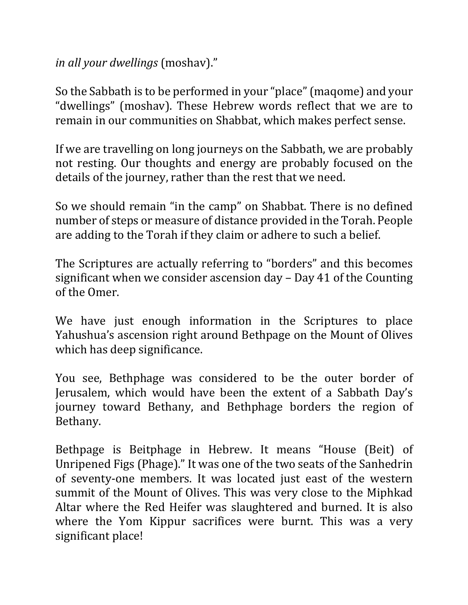## *in all your dwellings* (moshav)."

So the Sabbath is to be performed in your "place" (maqome) and your "dwellings" (moshav). These Hebrew words reflect that we are to remain in our communities on Shabbat, which makes perfect sense.

If we are travelling on long journeys on the Sabbath, we are probably not resting. Our thoughts and energy are probably focused on the details of the journey, rather than the rest that we need.

So we should remain "in the camp" on Shabbat. There is no defined number of steps or measure of distance provided in the Torah. People are adding to the Torah if they claim or adhere to such a belief.

The Scriptures are actually referring to "borders" and this becomes significant when we consider ascension  $day - Day 41$  of the Counting of the Omer.

We have just enough information in the Scriptures to place Yahushua's ascension right around Bethpage on the Mount of Olives which has deep significance.

You see, Bethphage was considered to be the outer border of Jerusalem, which would have been the extent of a Sabbath Day's journey toward Bethany, and Bethphage borders the region of Bethany. 

Bethpage is Beitphage in Hebrew. It means "House (Beit) of Unripened Figs (Phage)." It was one of the two seats of the Sanhedrin of seventy-one members. It was located just east of the western summit of the Mount of Olives. This was very close to the Miphkad Altar where the Red Heifer was slaughtered and burned. It is also where the Yom Kippur sacrifices were burnt. This was a very significant place!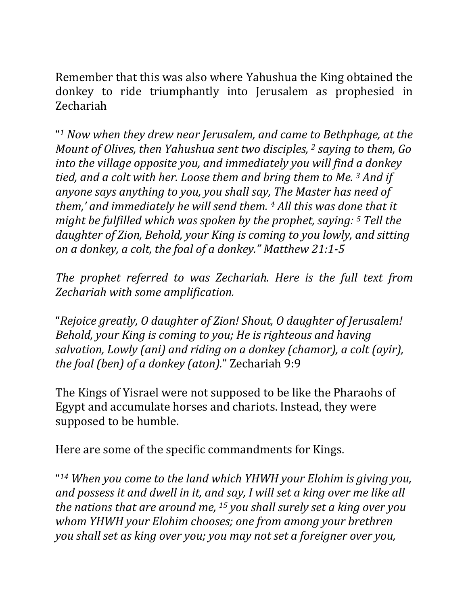Remember that this was also where Yahushua the King obtained the donkey to ride triumphantly into Jerusalem as prophesied in Zechariah

"*<sup>1</sup> Now when they drew near Jerusalem, and came to Bethphage, at the Mount of Olives, then Yahushua sent two disciples, <sup>2</sup> saying to them, Go into the village opposite you, and immediately you will find a donkey tied, and a colt with her. Loose them and bring them to Me.* <sup>3</sup> *And if anyone says anything to you, you shall say, The Master has need of them,'* and immediately he will send them. <sup>4</sup> All this was done that it *might be fulfilled which was spoken by the prophet, saying:* <sup>5</sup> *Tell the daughter of Zion, Behold, your King is coming to you lowly, and sitting on a donkey, a colt, the foal of a donkey." Matthew 21:1-5*

*The prophet referred to was Zechariah. Here is the full text from Zechariah with some amplification.* 

"*Rejoice greatly, O daughter of Zion! Shout, O daughter of Jerusalem! Behold, your King is coming to you; He is righteous and having salvation, Lowly (ani) and riding on a donkey (chamor), a colt (ayir), the foal (ben) of a donkey (aton)."* Zechariah 9:9

The Kings of Yisrael were not supposed to be like the Pharaohs of Egypt and accumulate horses and chariots. Instead, they were supposed to be humble.

Here are some of the specific commandments for Kings.

"<sup>14</sup> When you come to the land which YHWH your Elohim is giving you, and possess it and dwell in it, and say, I will set a king over me like all *the nations that are around me,* <sup>15</sup> you shall surely set a king over you *whom YHWH* your *Elohim chooses;* one from among your brethren *you* shall set as king over you; you may not set a foreigner over you,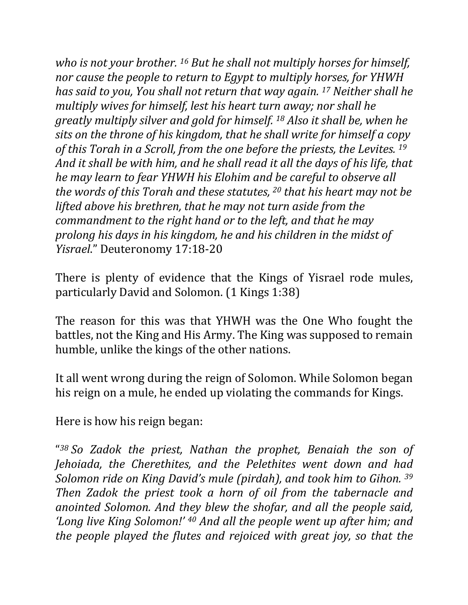*who is not your brother.* <sup>16</sup> *But he shall not multiply horses for himself, nor cause the people to return to Egypt to multiply horses, for YHWH has said to you, You shall not return that way again.* <sup>17</sup> Neither shall he *multiply wives for himself, lest his heart turn away; nor shall he greatly* multiply silver and gold for himself. <sup>18</sup> Also it shall be, when he sits on the throne of his kingdom, that he shall write for himself a copy of this Torah in a Scroll, from the one before the priests, the Levites. <sup>19</sup> *And it shall be with him, and he shall read it all the days of his life, that he may learn to fear YHWH his Elohim and be careful to observe all the words of this Torah and these statutes,* 20 *that his heart may not be lifted above his brethren, that he may not turn aside from the commandment* to the right hand or to the left, and that he may *prolong* his days in his kingdom, he and his children in the midst of *Yisrael*." Deuteronomy 17:18-20

There is plenty of evidence that the Kings of Yisrael rode mules, particularly David and Solomon. (1 Kings 1:38)

The reason for this was that YHWH was the One Who fought the battles, not the King and His Army. The King was supposed to remain humble, unlike the kings of the other nations.

It all went wrong during the reign of Solomon. While Solomon began his reign on a mule, he ended up violating the commands for Kings.

Here is how his reign began:

"*<sup>38</sup> So Zadok the priest, Nathan the prophet, Benaiah the son of Jehoiada, the Cherethites, and the Pelethites went down and had Solomon ride on King David's mule (pirdah), and took him to Gihon.* 39 *Then Zadok the priest took a horn of oil from the tabernacle and* anointed Solomon. And they blew the shofar, and all the people said, *'Long live King Solomon!'* <sup>40</sup> *And all the people went up after him; and the people played the flutes and rejoiced with great joy, so that the*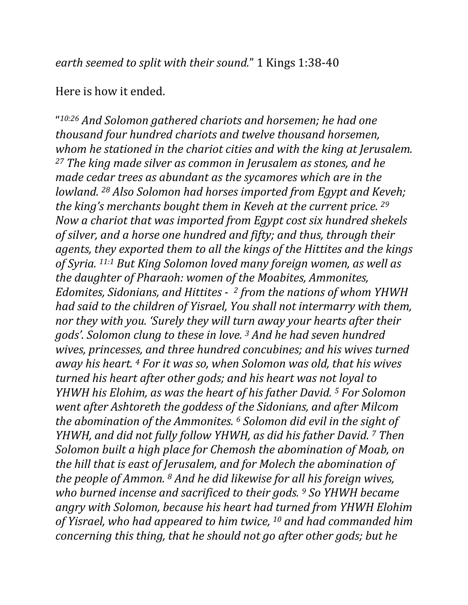*earth seemed to split with their sound."* 1 Kings 1:38-40

## Here is how it ended.

"10:26 And Solomon gathered chariots and horsemen; he had one *thousand four hundred chariots and twelve thousand horsemen,* whom he stationed in the chariot cities and with the king at Jerusalem. *<sup>27</sup> The king made silver as common in Jerusalem as stones, and he made cedar trees as abundant as the sycamores which are in the lowland.* <sup>28</sup> *Also Solomon had horses imported from Egypt and Keveh; the king's merchants bought them in Keveh at the current price.* 29 *Now a chariot that was imported from Egypt cost six hundred shekels* of silver, and a horse one hundred and fifty; and thus, through their agents, they exported them to all the kings of the Hittites and the kings of Syria. <sup>11:1</sup> But King Solomon loved many foreign women, as well as *the daughter of Pharaoh:* women of the Moabites, Ammonites, *Edomites, Sidonians, and Hittites - <sup>2</sup> from the nations of whom YHWH had* said to the children of Yisrael, You shall not intermarry with them, *nor they with you. 'Surely they will turn away your hearts after their gods'.* Solomon clung to these in love.<sup>3</sup> And he had seven hundred wives, princesses, and three hundred concubines; and his wives turned *away* his heart. <sup>4</sup> For it was so, when Solomon was old, that his wives *turned his heart after other gods; and his heart was not loyal to YHWH* his Elohim, as was the heart of his father David.<sup>5</sup> For Solomon *went after Ashtoreth the goddess of the Sidonians, and after Milcom the abomination of the Ammonites.* <sup>6</sup> *Solomon did evil in the sight of YHWH, and did not fully follow YHWH, as did his father David.* 7 *Then Solomon built a high place for Chemosh the abomination of Moab, on the hill that is east of Jerusalem, and for Molech the abomination of the people of Ammon.* <sup>8</sup> *And he did likewise for all his foreign wives, who burned incense and sacrificed to their gods. 9 So YHWH became angry with Solomon, because his heart had turned from YHWH Elohim* of Yisrael, who had appeared to him twice, <sup>10</sup> and had commanded him *concerning this thing, that he should not go after other gods; but he*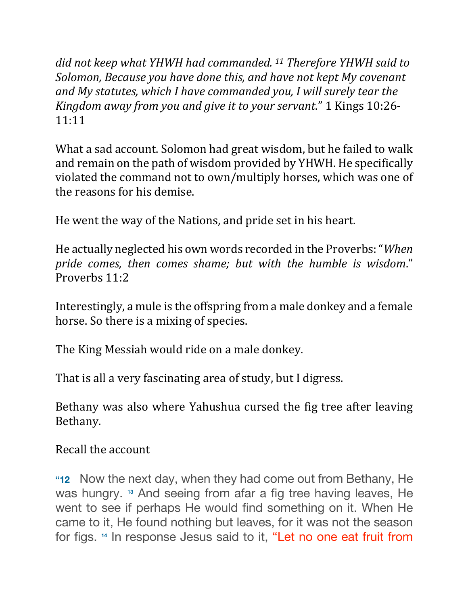did not keep what YHWH had commanded. <sup>11</sup> Therefore YHWH said to Solomon, Because you have done this, and have not kept My covenant and My statutes, which I have commanded you, I will surely tear the *Kingdom away from you and give it to your servant.*" 1 Kings 10:26-11:11

What a sad account. Solomon had great wisdom, but he failed to walk and remain on the path of wisdom provided by YHWH. He specifically violated the command not to own/multiply horses, which was one of the reasons for his demise.

He went the way of the Nations, and pride set in his heart.

He actually neglected his own words recorded in the Proverbs: "When *pride comes, then comes shame; but with the humble is wisdom*." Proverbs 11:2

Interestingly, a mule is the offspring from a male donkey and a female horse. So there is a mixing of species.

The King Messiah would ride on a male donkey.

That is all a very fascinating area of study, but I digress.

Bethany was also where Yahushua cursed the fig tree after leaving Bethany. 

Recall the account

**"12** Now the next day, when they had come out from Bethany, He was hungry. **<sup>13</sup>** And seeing from afar a fig tree having leaves, He went to see if perhaps He would find something on it. When He came to it, He found nothing but leaves, for it was not the season for figs. **<sup>14</sup>** In response Jesus said to it, "Let no one eat fruit from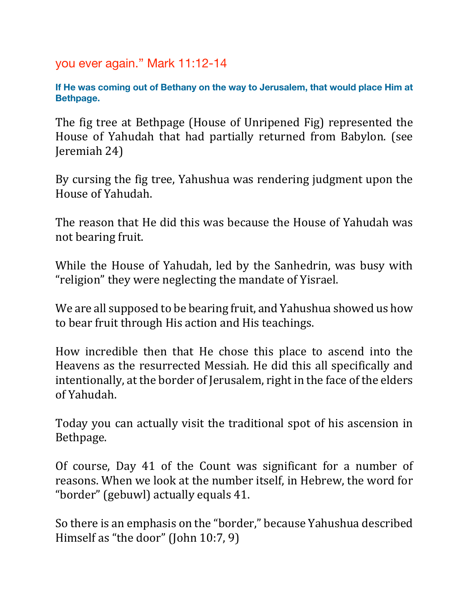you ever again." Mark 11:12-14

**If He was coming out of Bethany on the way to Jerusalem, that would place Him at Bethpage.**

The fig tree at Bethpage (House of Unripened Fig) represented the House of Yahudah that had partially returned from Babylon. (see Jeremiah 24)

By cursing the fig tree, Yahushua was rendering judgment upon the House of Yahudah.

The reason that He did this was because the House of Yahudah was not bearing fruit.

While the House of Yahudah, led by the Sanhedrin, was busy with "religion" they were neglecting the mandate of Yisrael.

We are all supposed to be bearing fruit, and Yahushua showed us how to bear fruit through His action and His teachings.

How incredible then that He chose this place to ascend into the Heavens as the resurrected Messiah. He did this all specifically and intentionally, at the border of Jerusalem, right in the face of the elders of Yahudah. 

Today you can actually visit the traditional spot of his ascension in Bethpage.

Of course, Day 41 of the Count was significant for a number of reasons. When we look at the number itself, in Hebrew, the word for "border" (gebuwl) actually equals 41.

So there is an emphasis on the "border," because Yahushua described Himself as "the door" (John  $10:7, 9$ )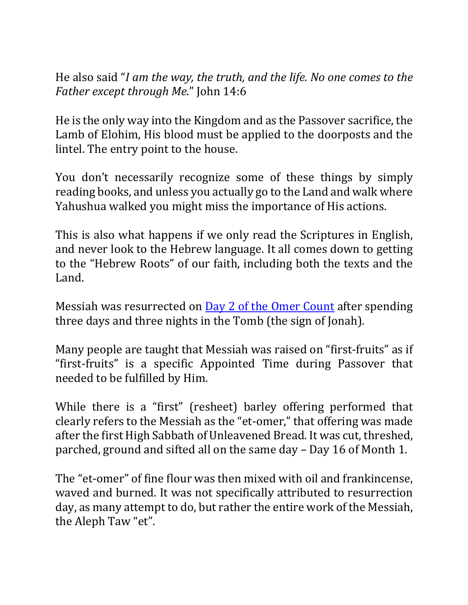He also said "*I* am the way, the truth, and the life. No one comes to the *Father except through Me.*" John 14:6

He is the only way into the Kingdom and as the Passover sacrifice, the Lamb of Elohim, His blood must be applied to the doorposts and the lintel. The entry point to the house.

You don't necessarily recognize some of these things by simply reading books, and unless you actually go to the Land and walk where Yahushua walked you might miss the importance of His actions.

This is also what happens if we only read the Scriptures in English, and never look to the Hebrew language. It all comes down to getting to the "Hebrew Roots" of our faith, including both the texts and the Land.

Messiah was resurrected on  $\overline{Day 2}$  of the Omer Count after spending three days and three nights in the Tomb (the sign of Jonah).

Many people are taught that Messiah was raised on "first-fruits" as if "first-fruits" is a specific Appointed Time during Passover that needed to be fulfilled by Him.

While there is a "first" (resheet) barley offering performed that clearly refers to the Messiah as the "et-omer," that offering was made after the first High Sabbath of Unleavened Bread. It was cut, threshed, parched, ground and sifted all on the same day – Day 16 of Month 1.

The "et-omer" of fine flour was then mixed with oil and frankincense, waved and burned. It was not specifically attributed to resurrection day, as many attempt to do, but rather the entire work of the Messiah, the Aleph Taw "et".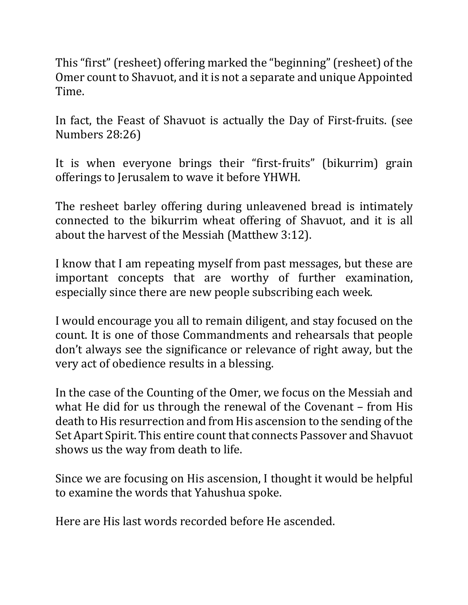This "first" (resheet) offering marked the "beginning" (resheet) of the Omer count to Shavuot, and it is not a separate and unique Appointed Time. 

In fact, the Feast of Shavuot is actually the Day of First-fruits. (see Numbers 28:26)

It is when everyone brings their "first-fruits" (bikurrim) grain offerings to Jerusalem to wave it before YHWH.

The resheet barley offering during unleavened bread is intimately connected to the bikurrim wheat offering of Shavuot, and it is all about the harvest of the Messiah (Matthew 3:12).

I know that I am repeating myself from past messages, but these are important concepts that are worthy of further examination, especially since there are new people subscribing each week.

I would encourage you all to remain diligent, and stay focused on the count. It is one of those Commandments and rehearsals that people don't always see the significance or relevance of right away, but the very act of obedience results in a blessing.

In the case of the Counting of the Omer, we focus on the Messiah and what He did for us through the renewal of the Covenant  $-$  from His death to His resurrection and from His ascension to the sending of the Set Apart Spirit. This entire count that connects Passover and Shavuot shows us the way from death to life.

Since we are focusing on His ascension, I thought it would be helpful to examine the words that Yahushua spoke.

Here are His last words recorded before He ascended.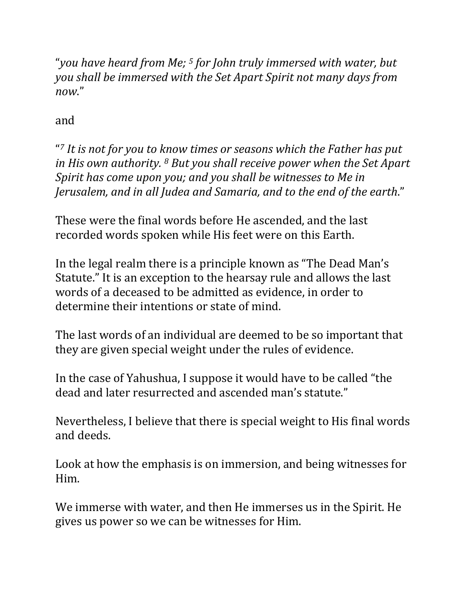"*you have heard from Me;* <sup>5</sup> for John truly immersed with water, but *you* shall be immersed with the Set Apart Spirit not many days from *now*."

and 

"<sup>7</sup> It is not for you to know times or seasons which the Father has put *in* His own authority. <sup>8</sup> But you shall receive power when the Set Apart Spirit has come upon you; and you shall be witnesses to Me in Jerusalem, and in all Judea and Samaria, and to the end of the earth."

These were the final words before He ascended, and the last recorded words spoken while His feet were on this Earth.

In the legal realm there is a principle known as "The Dead Man's Statute." It is an exception to the hearsay rule and allows the last words of a deceased to be admitted as evidence, in order to determine their intentions or state of mind.

The last words of an individual are deemed to be so important that they are given special weight under the rules of evidence.

In the case of Yahushua, I suppose it would have to be called "the dead and later resurrected and ascended man's statute."

Nevertheless, I believe that there is special weight to His final words and deeds.

Look at how the emphasis is on immersion, and being witnesses for Him.

We immerse with water, and then He immerses us in the Spirit. He gives us power so we can be witnesses for Him.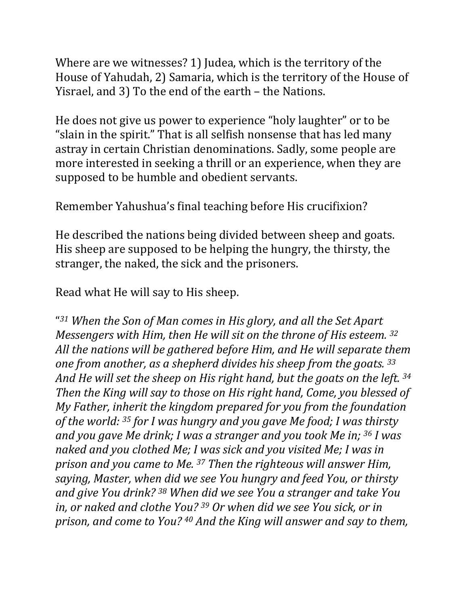Where are we witnesses? 1) Judea, which is the territory of the House of Yahudah, 2) Samaria, which is the territory of the House of Yisrael, and 3) To the end of the earth  $-$  the Nations.

He does not give us power to experience "holy laughter" or to be " slain in the spirit." That is all selfish nonsense that has led many astray in certain Christian denominations. Sadly, some people are more interested in seeking a thrill or an experience, when they are supposed to be humble and obedient servants.

Remember Yahushua's final teaching before His crucifixion?

He described the nations being divided between sheep and goats. His sheep are supposed to be helping the hungry, the thirsty, the stranger, the naked, the sick and the prisoners.

Read what He will say to His sheep.

"<sup>31</sup> When the Son of Man comes in His glory, and all the Set Apart *Messengers* with Him, then He will sit on the throne of His esteem. <sup>32</sup> All the nations will be gathered before Him, and He will separate them *one from another, as a shepherd divides his sheep from the goats.* 33 And He will set the sheep on His right hand, but the goats on the left. 34 *Then the King will say to those on His right hand, Come, you blessed of My Father, inherit the kingdom prepared for you from the foundation* of the world: <sup>35</sup> for I was hungry and you gave Me food; I was thirsty *and you gave Me drink; I was a stranger and you took Me in; <sup>36</sup> I was* naked and you clothed Me; I was sick and you visited Me; I was in *prison and you came to Me.* <sup>37</sup> *Then the righteous will answer Him, saying, Master, when did we see You hungry and feed You, or thirsty and give You drink? <sup>38</sup> When did we see You a stranger and take You in, or naked and clothe You?* <sup>39</sup> Or when did we see You sick, or in *prison, and come to You?* <sup>40</sup> *And the King will answer and say to them,*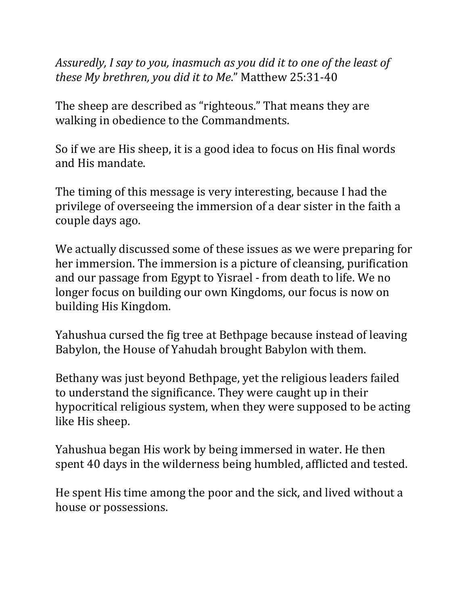Assuredly, I say to you, inasmuch as you did it to one of the least of *these My brethren, you did it to Me.*" Matthew 25:31-40

The sheep are described as "righteous." That means they are walking in obedience to the Commandments.

So if we are His sheep, it is a good idea to focus on His final words and His mandate.

The timing of this message is very interesting, because I had the privilege of overseeing the immersion of a dear sister in the faith a couple days ago.

We actually discussed some of these issues as we were preparing for her immersion. The immersion is a picture of cleansing, purification and our passage from Egypt to Yisrael - from death to life. We no longer focus on building our own Kingdoms, our focus is now on building His Kingdom.

Yahushua cursed the fig tree at Bethpage because instead of leaving Babylon, the House of Yahudah brought Babylon with them.

Bethany was just beyond Bethpage, yet the religious leaders failed to understand the significance. They were caught up in their hypocritical religious system, when they were supposed to be acting like His sheep.

Yahushua began His work by being immersed in water. He then spent 40 days in the wilderness being humbled, afflicted and tested.

He spent His time among the poor and the sick, and lived without a house or possessions.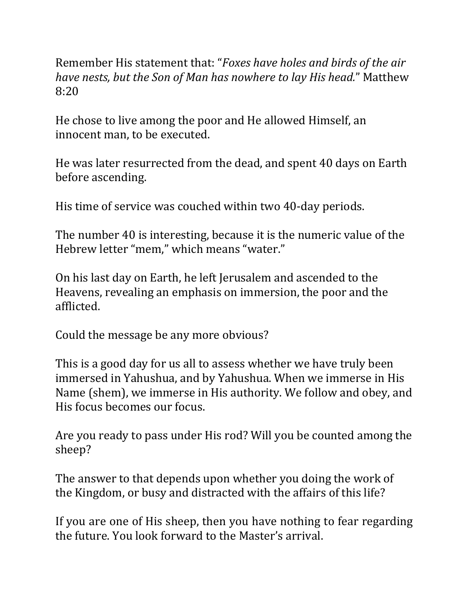Remember His statement that: "*Foxes have holes and birds of the air have nests, but the Son of Man has nowhere to lay His head."* Matthew 8:20

He chose to live among the poor and He allowed Himself, an innocent man, to be executed.

He was later resurrected from the dead, and spent 40 days on Earth before ascending.

His time of service was couched within two 40-day periods.

The number 40 is interesting, because it is the numeric value of the Hebrew letter "mem," which means "water."

On his last day on Earth, he left Jerusalem and ascended to the Heavens, revealing an emphasis on immersion, the poor and the afflicted.

Could the message be any more obvious?

This is a good day for us all to assess whether we have truly been immersed in Yahushua, and by Yahushua. When we immerse in His Name (shem), we immerse in His authority. We follow and obey, and His focus becomes our focus.

Are you ready to pass under His rod? Will you be counted among the sheep?

The answer to that depends upon whether you doing the work of the Kingdom, or busy and distracted with the affairs of this life?

If you are one of His sheep, then you have nothing to fear regarding the future. You look forward to the Master's arrival.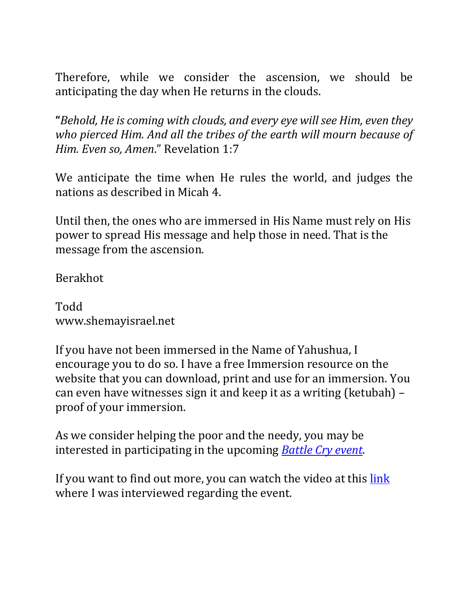Therefore, while we consider the ascension, we should be anticipating the day when He returns in the clouds.

**"**Behold, He is coming with clouds, and every eye will see Him, even they who pierced Him. And all the tribes of the earth will mourn because of *Him. Even so, Amen."* Revelation 1:7

We anticipate the time when He rules the world, and judges the nations as described in Micah 4.

Until then, the ones who are immersed in His Name must rely on His power to spread His message and help those in need. That is the message from the ascension.

Berakhot

Todd www.shemayisrael.net

If you have not been immersed in the Name of Yahushua, I encourage you to do so. I have a free Immersion resource on the website that you can download, print and use for an immersion. You can even have witnesses sign it and keep it as a writing (ketubah)  $$ proof of your immersion.

As we consider helping the poor and the needy, you may be interested in participating in the upcoming *Battle Cry event*.

If you want to find out more, you can watch the video at this link where I was interviewed regarding the event.